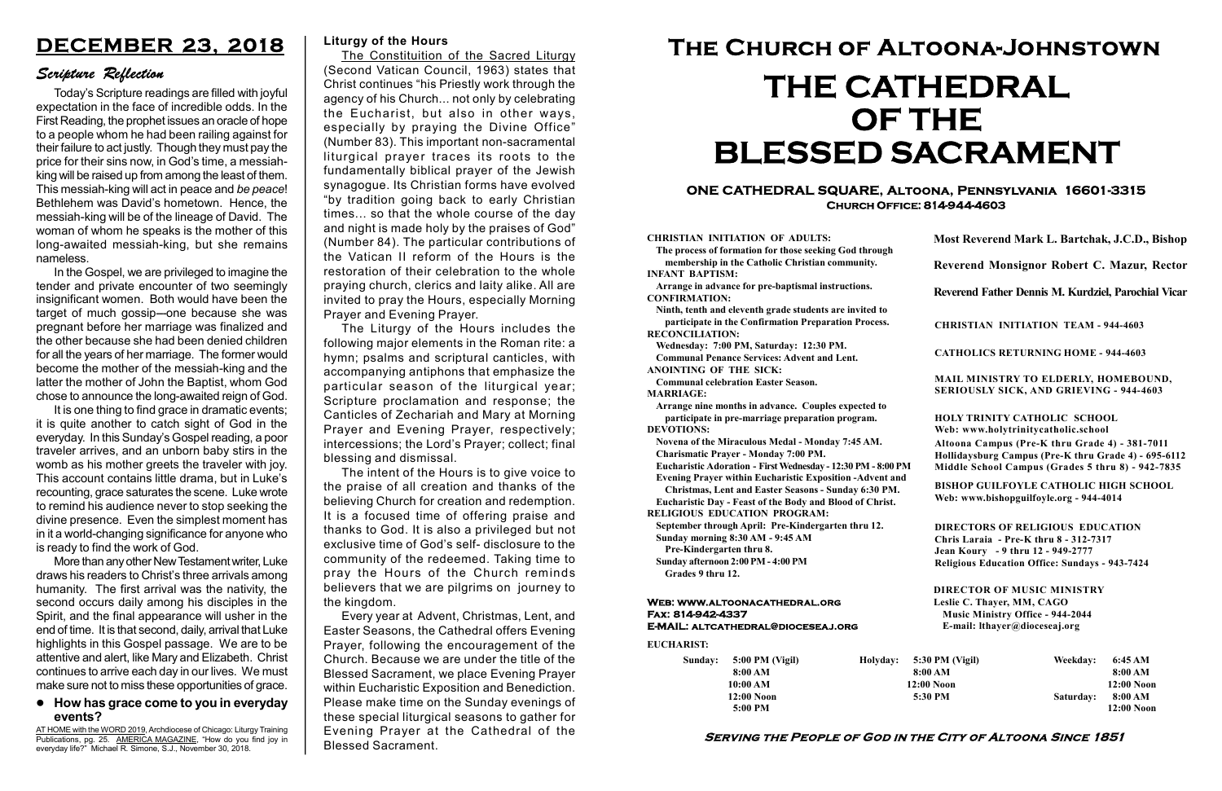# Serving the People of God in the City of Altoona Since 1851

Sunday: 5:00 PM (Vigil) 8:00 AM 10:00 AM 12:00 Noon 5:00 PM

Holyday:

#### Web: www.altoonacathedral.org Fax: 814-942-4337 E-MAIL: altcathedral@dioceseaj.org

EUCHARIST:

#### CHRISTIAN INITIATION OF ADULTS:

The process of formation for those seeking God through membership in the Catholic Christian community. INFANT BAPTISM:

Arrange in advance for pre-baptismal instructions. CONFIRMATION:

Ninth, tenth and eleventh grade students are invited to participate in the Confirmation Preparation Process. RECONCILIATION:

Wednesday: 7:00 PM, Saturday: 12:30 PM. Communal Penance Services: Advent and Lent. ANOINTING OF THE SICK:

Communal celebration Easter Season.

MARRIAGE:

Arrange nine months in advance. Couples expected to participate in pre-marriage preparation program. DEVOTIONS:

Novena of the Miraculous Medal - Monday 7:45 AM. Charismatic Prayer - Monday 7:00 PM.

Eucharistic Adoration - First Wednesday - 12:30 PM - 8:00 PM

Evening Prayer within Eucharistic Exposition -Advent and

Christmas, Lent and Easter Seasons - Sunday 6:30 PM. Eucharistic Day - Feast of the Body and Blood of Christ.

|                         | Most Reverend Mark L. Bartchak, J.C.D., Bishop                                                                                                                                  |           |                         |  |
|-------------------------|---------------------------------------------------------------------------------------------------------------------------------------------------------------------------------|-----------|-------------------------|--|
|                         | Reverend Monsignor Robert C. Mazur, Rector                                                                                                                                      |           |                         |  |
|                         | Reverend Father Dennis M. Kurdziel, Parochial Vicar                                                                                                                             |           |                         |  |
|                         | <b>CHRISTIAN INITIATION TEAM - 944-4603</b>                                                                                                                                     |           |                         |  |
|                         | <b>CATHOLICS RETURNING HOME - 944-4603</b>                                                                                                                                      |           |                         |  |
|                         | MAIL MINISTRY TO ELDERLY, HOMEBOUND,<br><b>SERIOUSLY SICK, AND GRIEVING - 944-4603</b>                                                                                          |           |                         |  |
|                         | <b>HOLY TRINITY CATHOLIC SCHOOL</b><br>Web: www.holytrinitycatholic.school                                                                                                      |           |                         |  |
| М                       | Altoona Campus (Pre-K thru Grade 4) - 381-7011<br>Hollidaysburg Campus (Pre-K thru Grade 4) - 695-6112<br>Middle School Campus (Grades 5 thru 8) - 942-7835                     |           |                         |  |
| ł                       | <b>BISHOP GUILFOYLE CATHOLIC HIGH SCHOOL</b><br>Web: www.bishopguilfoyle.org - 944-4014                                                                                         |           |                         |  |
|                         | <b>DIRECTORS OF RELIGIOUS EDUCATION</b><br>Chris Laraia - Pre-K thru 8 - 312-7317<br>Jean Koury - 9 thru 12 - 949-2777<br><b>Religious Education Office: Sundays - 943-7424</b> |           |                         |  |
|                         | <b>DIRECTOR OF MUSIC MINISTRY</b><br>Leslie C. Thayer, MM, CAGO<br><b>Music Ministry Office - 944-2044</b><br>E-mail: lthayer@dioceseaj.org                                     |           |                         |  |
| 5:30 PM (Vigil)         |                                                                                                                                                                                 | Weekday:  | 6:45 AM                 |  |
| 8:00 AM<br>$12:00$ Noon |                                                                                                                                                                                 |           | 8:00 AM<br>12:00 Noon   |  |
|                         | 5:30 PM                                                                                                                                                                         | Saturday: | 8:00 AM<br>$12:00$ Noon |  |
|                         |                                                                                                                                                                                 |           |                         |  |

RELIGIOUS EDUCATION PROGRAM:

September through April: Pre-Kindergarten thru 12. Sunday morning 8:30 AM - 9:45 AM

Pre-Kindergarten thru 8.

Sunday afternoon 2:00 PM - 4:00 PM Grades 9 thru 12.

# ONE CATHEDRAL SQUARE, Altoona, Pennsylvania 16601-3315 Church Office: 814-944-4603

AT HOME with the WORD 2019, Archdiocese of Chicago: Liturgy Training Publications, pg. 25. AMERICA MAGAZINE, "How do you find joy in everyday life?" Michael R. Simone, S.J., November 30, 2018.

# The Church of Altoona-Johnstown THE CATHEDRAL OF THE BLESSED SACRAMENT

#### Liturgy of the Hours

The Constituition of the Sacred Liturgy (Second Vatican Council, 1963) states that Christ continues "his Priestly work through the agency of his Church... not only by celebrating the Eucharist, but also in other ways, especially by praying the Divine Office" (Number 83). This important non-sacramental liturgical prayer traces its roots to the fundamentally biblical prayer of the Jewish synagogue. Its Christian forms have evolved "by tradition going back to early Christian times... so that the whole course of the day and night is made holy by the praises of God" (Number 84). The particular contributions of the Vatican II reform of the Hours is the restoration of their celebration to the whole praying church, clerics and laity alike. All are invited to pray the Hours, especially Morning Prayer and Evening Prayer.

It is one thing to find grace in dramatic events; it is quite another to catch sight of God in the everyday. In this Sunday's Gospel reading, a poor traveler arrives, and an unborn baby stirs in the womb as his mother greets the traveler with joy. This account contains little drama, but in Luke's recounting, grace saturates the scene. Luke wrote to remind his audience never to stop seeking the divine presence. Even the simplest moment has in it a world-changing significance for anyone who is ready to find the work of God.

The Liturgy of the Hours includes the following major elements in the Roman rite: a hymn; psalms and scriptural canticles, with accompanying antiphons that emphasize the particular season of the liturgical year; Scripture proclamation and response; the Canticles of Zechariah and Mary at Morning Prayer and Evening Prayer, respectively; intercessions; the Lord's Prayer; collect; final blessing and dismissal.

The intent of the Hours is to give voice to the praise of all creation and thanks of the believing Church for creation and redemption. It is a focused time of offering praise and thanks to God. It is also a privileged but not exclusive time of God's self- disclosure to the community of the redeemed. Taking time to pray the Hours of the Church reminds believers that we are pilgrims on journey to the kingdom.

Every year at Advent, Christmas, Lent, and Easter Seasons, the Cathedral offers Evening Prayer, following the encouragement of the Church. Because we are under the title of the Blessed Sacrament, we place Evening Prayer within Eucharistic Exposition and Benediction. Please make time on the Sunday evenings of these special liturgical seasons to gather for Evening Prayer at the Cathedral of the Blessed Sacrament.

# How has grace come to you in everyday events?

# DECEMBER 23, 2018

# Scripture Reflection

Today's Scripture readings are filled with joyful expectation in the face of incredible odds. In the First Reading, the prophet issues an oracle of hope to a people whom he had been railing against for their failure to act justly. Though they must pay the price for their sins now, in God's time, a messiahking will be raised up from among the least of them. This messiah-king will act in peace and be peace! Bethlehem was David's hometown. Hence, the messiah-king will be of the lineage of David. The woman of whom he speaks is the mother of this long-awaited messiah-king, but she remains nameless.

In the Gospel, we are privileged to imagine the tender and private encounter of two seemingly insignificant women. Both would have been the target of much gossip---one because she was pregnant before her marriage was finalized and the other because she had been denied children for all the years of her marriage. The former would become the mother of the messiah-king and the latter the mother of John the Baptist, whom God chose to announce the long-awaited reign of God.

More than any other New Testament writer, Luke draws his readers to Christ's three arrivals among humanity. The first arrival was the nativity, the second occurs daily among his disciples in the Spirit, and the final appearance will usher in the end of time. It is that second, daily, arrival that Luke highlights in this Gospel passage. We are to be attentive and alert, like Mary and Elizabeth. Christ continues to arrive each day in our lives. We must make sure not to miss these opportunities of grace.